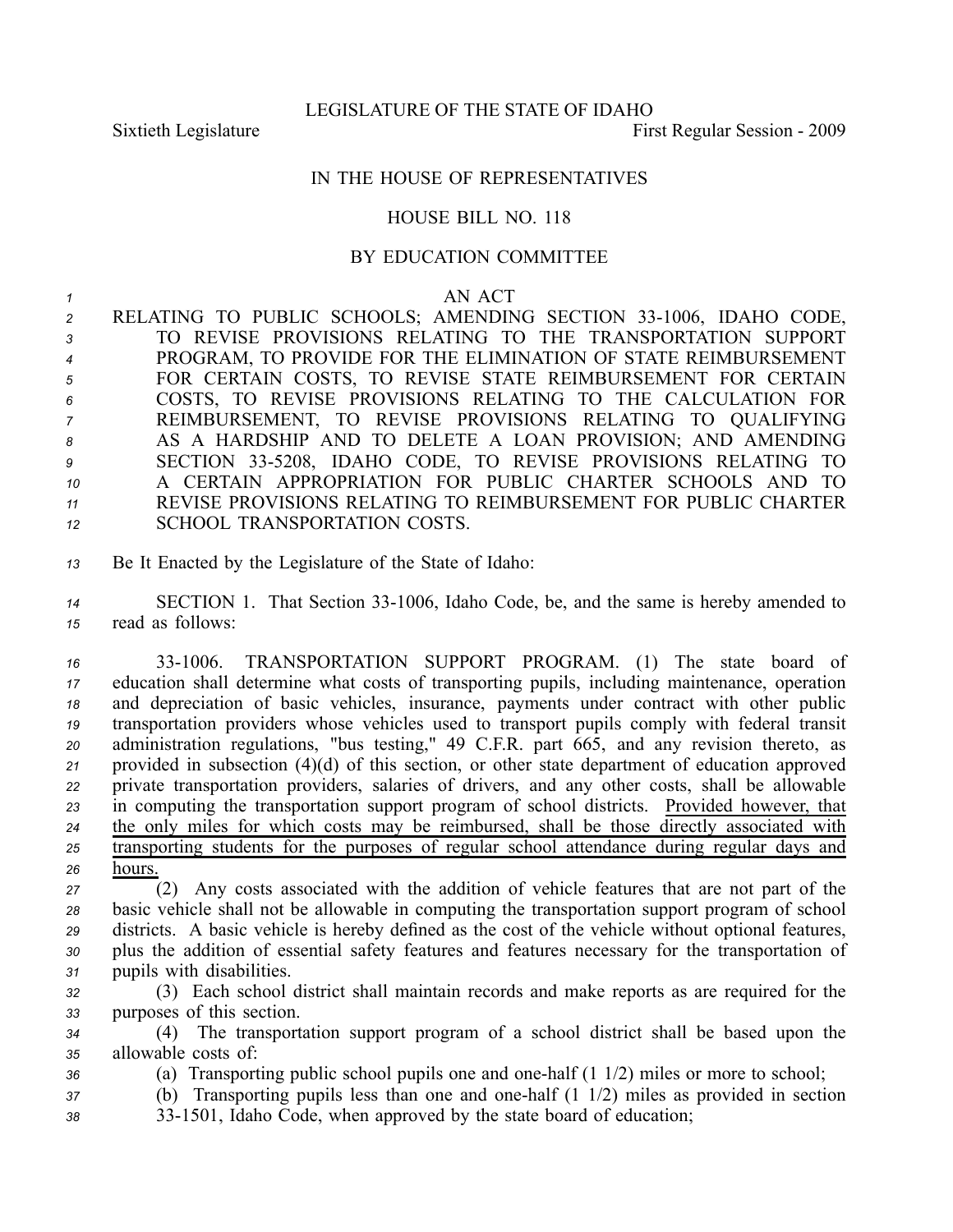## IN THE HOUSE OF REPRESENTATIVES

## HOUSE BILL NO. 118

## BY EDUCATION COMMITTEE

## *<sup>1</sup>* AN ACT

2 RELATING TO PUBLIC SCHOOLS; AMENDING SECTION 33-1006, IDAHO CODE, TO REVISE PROVISIONS RELATING TO THE TRANSPORTATION SUPPORT PROGRAM, TO PROVIDE FOR THE ELIMINATION OF STATE REIMBURSEMENT FOR CERTAIN COSTS, TO REVISE STATE REIMBURSEMENT FOR CERTAIN COSTS, TO REVISE PROVISIONS RELATING TO THE CALCULATION FOR REIMBURSEMENT, TO REVISE PROVISIONS RELATING TO QUALIFYING AS A HARDSHIP AND TO DELETE A LOAN PROVISION; AND AMENDING 9 SECTION 33-5208, IDAHO CODE, TO REVISE PROVISIONS RELATING TO A CERTAIN APPROPRIATION FOR PUBLIC CHARTER SCHOOLS AND TO REVISE PROVISIONS RELATING TO REIMBURSEMENT FOR PUBLIC CHARTER SCHOOL TRANSPORTATION COSTS.

*<sup>13</sup>* Be It Enacted by the Legislature of the State of Idaho:

14 SECTION 1. That Section 33-1006, Idaho Code, be, and the same is hereby amended to *<sup>15</sup>* read as follows:

 331006. TRANSPORTATION SUPPORT PROGRAM. (1) The state board of education shall determine what costs of transporting pupils, including maintenance, operation and depreciation of basic vehicles, insurance, payments under contract with other public transportation providers whose vehicles used to transport pupils comply with federal transit administration regulations, "bus testing," 49 C.F.R. par<sup>t</sup> 665, and any revision thereto, as provided in subsection (4)(d) of this section, or other state department of education approved private transportation providers, salaries of drivers, and any other costs, shall be allowable in computing the transportation suppor<sup>t</sup> program of school districts. Provided however, that the only miles for which costs may be reimbursed, shall be those directly associated with transporting students for the purposes of regular school attendance during regular days and *<sup>26</sup>* hours.

- *<sup>27</sup>* (2) Any costs associated with the addition of vehicle features that are not par<sup>t</sup> of the *<sup>28</sup>* basic vehicle shall not be allowable in computing the transportation suppor<sup>t</sup> program of school *<sup>29</sup>* districts. A basic vehicle is hereby defined as the cost of the vehicle without optional features, *<sup>30</sup>* plus the addition of essential safety features and features necessary for the transportation of *<sup>31</sup>* pupils with disabilities.
- *<sup>32</sup>* (3) Each school district shall maintain records and make reports as are required for the *<sup>33</sup>* purposes of this section.

*<sup>34</sup>* (4) The transportation suppor<sup>t</sup> program of <sup>a</sup> school district shall be based upon the *<sup>35</sup>* allowable costs of:

- *<sup>36</sup>* (a) Transporting public school pupils one and onehalf (1 1/2) miles or more to school;
- *<sup>37</sup>* (b) Transporting pupils less than one and onehalf (1 1/2) miles as provided in section
- *<sup>38</sup>* 331501, Idaho Code, when approved by the state board of education;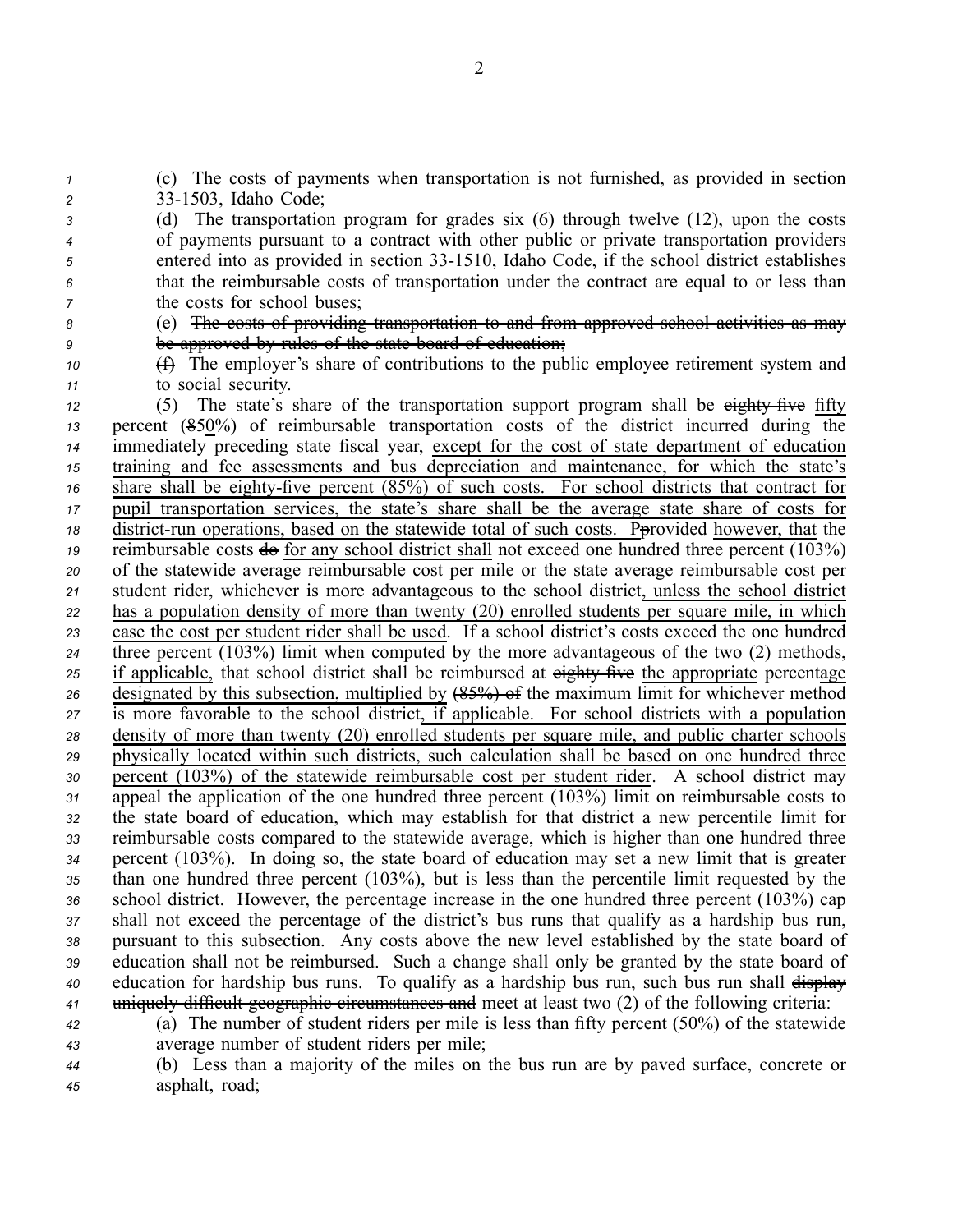*<sup>1</sup>* (c) The costs of payments when transportation is not furnished, as provided in section *<sup>2</sup>* 331503, Idaho Code;

 (d) The transportation program for grades six (6) through twelve (12), upon the costs of payments pursuan<sup>t</sup> to <sup>a</sup> contract with other public or private transportation providers entered into as provided in section 331510, Idaho Code, if the school district establishes that the reimbursable costs of transportation under the contract are equal to or less than the costs for school buses;

*<sup>8</sup>* (e) The costs of providing transportation to and from approved school activities as may *<sup>9</sup>* be approved by rules of the state board of education;

*<sup>10</sup>* (f) The employer's share of contributions to the public employee retirement system and *<sup>11</sup>* to social security.

 (5) The state's share of the transportation support program shall be eighty five fifty percen<sup>t</sup> (850%) of reimbursable transportation costs of the district incurred during the immediately preceding state fiscal year, excep<sup>t</sup> for the cost of state department of education training and fee assessments and bus depreciation and maintenance, for which the state's share shall be eighty-five percent (85%) of such costs. For school districts that contract for pupil transportation services, the state's share shall be the average state share of costs for district-run operations, based on the statewide total of such costs. Provided however, that the reimbursable costs  $\frac{d}{dx}$  for any school district shall not exceed one hundred three percent  $(103\%)$  of the statewide average reimbursable cost per mile or the state average reimbursable cost per student rider, whichever is more advantageous to the school district, unless the school district has <sup>a</sup> population density of more than twenty (20) enrolled students per square mile, in which case the cost per student rider shall be used. If <sup>a</sup> school district's costs exceed the one hundred three percen<sup>t</sup> (103%) limit when computed by the more advantageous of the two (2) methods, 25 if applicable, that school district shall be reimbursed at eighty five the appropriate percentage designated by this subsection, multiplied by (85%) of the maximum limit for whichever method is more favorable to the school district, if applicable. For school districts with <sup>a</sup> population density of more than twenty (20) enrolled students per square mile, and public charter schools physically located within such districts, such calculation shall be based on one hundred three percen<sup>t</sup> (103%) of the statewide reimbursable cost per student rider. A school district may appeal the application of the one hundred three percen<sup>t</sup> (103%) limit on reimbursable costs to the state board of education, which may establish for that district <sup>a</sup> new percentile limit for reimbursable costs compared to the statewide average, which is higher than one hundred three percen<sup>t</sup> (103%). In doing so, the state board of education may set <sup>a</sup> new limit that is greater than one hundred three percen<sup>t</sup> (103%), but is less than the percentile limit requested by the school district. However, the percentage increase in the one hundred three percen<sup>t</sup> (103%) cap shall not exceed the percentage of the district's bus runs that qualify as <sup>a</sup> hardship bus run, pursuan<sup>t</sup> to this subsection. Any costs above the new level established by the state board of education shall not be reimbursed. Such <sup>a</sup> change shall only be granted by the state board of education for hardship bus runs. To qualify as a hardship bus run, such bus run shall  $\frac{displex}{=}$ uniquely difficult geographic circumstances and meet at least two (2) of the following criteria:

*<sup>42</sup>* (a) The number of student riders per mile is less than fifty percen<sup>t</sup> (50%) of the statewide *<sup>43</sup>* average number of student riders per mile;

*<sup>44</sup>* (b) Less than <sup>a</sup> majority of the miles on the bus run are by paved surface, concrete or *<sup>45</sup>* asphalt, road;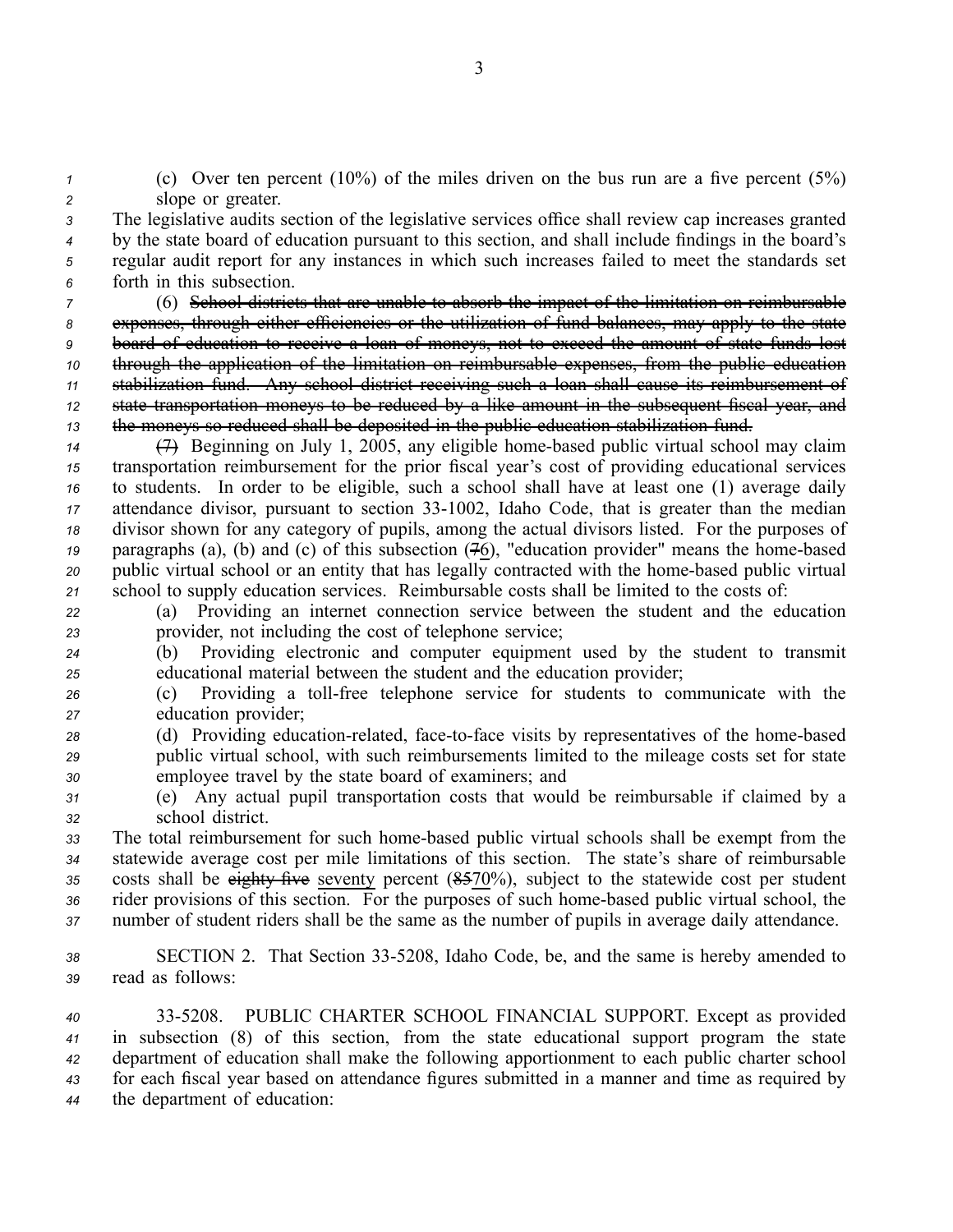*<sup>1</sup>* (c) Over ten percen<sup>t</sup> (10%) of the miles driven on the bus run are <sup>a</sup> five percen<sup>t</sup> (5%) *<sup>2</sup>* slope or greater.

 The legislative audits section of the legislative services office shall review cap increases granted by the state board of education pursuan<sup>t</sup> to this section, and shall include findings in the board's regular audit repor<sup>t</sup> for any instances in which such increases failed to meet the standards set forth in this subsection.

 (6) School districts that are unable to absorb the impact of the limitation on reimbursable expenses, through either efficiencies or the utilization of fund balances, may apply to the state board of education to receive <sup>a</sup> loan of moneys, not to exceed the amount of state funds lost through the application of the limitation on reimbursable expenses, from the public education stabilization fund. Any school district receiving such <sup>a</sup> loan shall cause its reimbursement of state transportation moneys to be reduced by <sup>a</sup> like amount in the subsequent fiscal year, and the moneys so reduced shall be deposited in the public education stabilization fund.

 (7) Beginning on July 1, 2005, any eligible homebased public virtual school may claim transportation reimbursement for the prior fiscal year's cost of providing educational services to students. In order to be eligible, such <sup>a</sup> school shall have at least one (1) average daily attendance divisor, pursuant to section 33-1002, Idaho Code, that is greater than the median divisor shown for any category of pupils, among the actual divisors listed. For the purposes of 19 paragraphs (a), (b) and (c) of this subsection (76), "education provider" means the home-based public virtual school or an entity that has legally contracted with the homebased public virtual school to supply education services. Reimbursable costs shall be limited to the costs of:

*<sup>22</sup>* (a) Providing an internet connection service between the student and the education *<sup>23</sup>* provider, not including the cost of telephone service;

*<sup>24</sup>* (b) Providing electronic and computer equipment used by the student to transmit *<sup>25</sup>* educational material between the student and the education provider;

26 (c) Providing a toll-free telephone service for students to communicate with the *<sup>27</sup>* education provider;

*28* (d) Providing education-related, face-to-face visits by representatives of the home-based *<sup>29</sup>* public virtual school, with such reimbursements limited to the mileage costs set for state *<sup>30</sup>* employee travel by the state board of examiners; and

*<sup>31</sup>* (e) Any actual pupil transportation costs that would be reimbursable if claimed by <sup>a</sup> *<sup>32</sup>* school district.

33 The total reimbursement for such home-based public virtual schools shall be exempt from the *<sup>34</sup>* statewide average cost per mile limitations of this section. The state's share of reimbursable 35 costs shall be eighty five seventy percent (8.570%), subject to the statewide cost per student *<sup>36</sup>* rider provisions of this section. For the purposes of such homebased public virtual school, the *<sup>37</sup>* number of student riders shall be the same as the number of pupils in average daily attendance.

*<sup>38</sup>* SECTION 2. That Section 335208, Idaho Code, be, and the same is hereby amended to *<sup>39</sup>* read as follows:

 335208. PUBLIC CHARTER SCHOOL FINANCIAL SUPPORT. Except as provided in subsection (8) of this section, from the state educational suppor<sup>t</sup> program the state department of education shall make the following apportionment to each public charter school for each fiscal year based on attendance figures submitted in <sup>a</sup> manner and time as required by the department of education: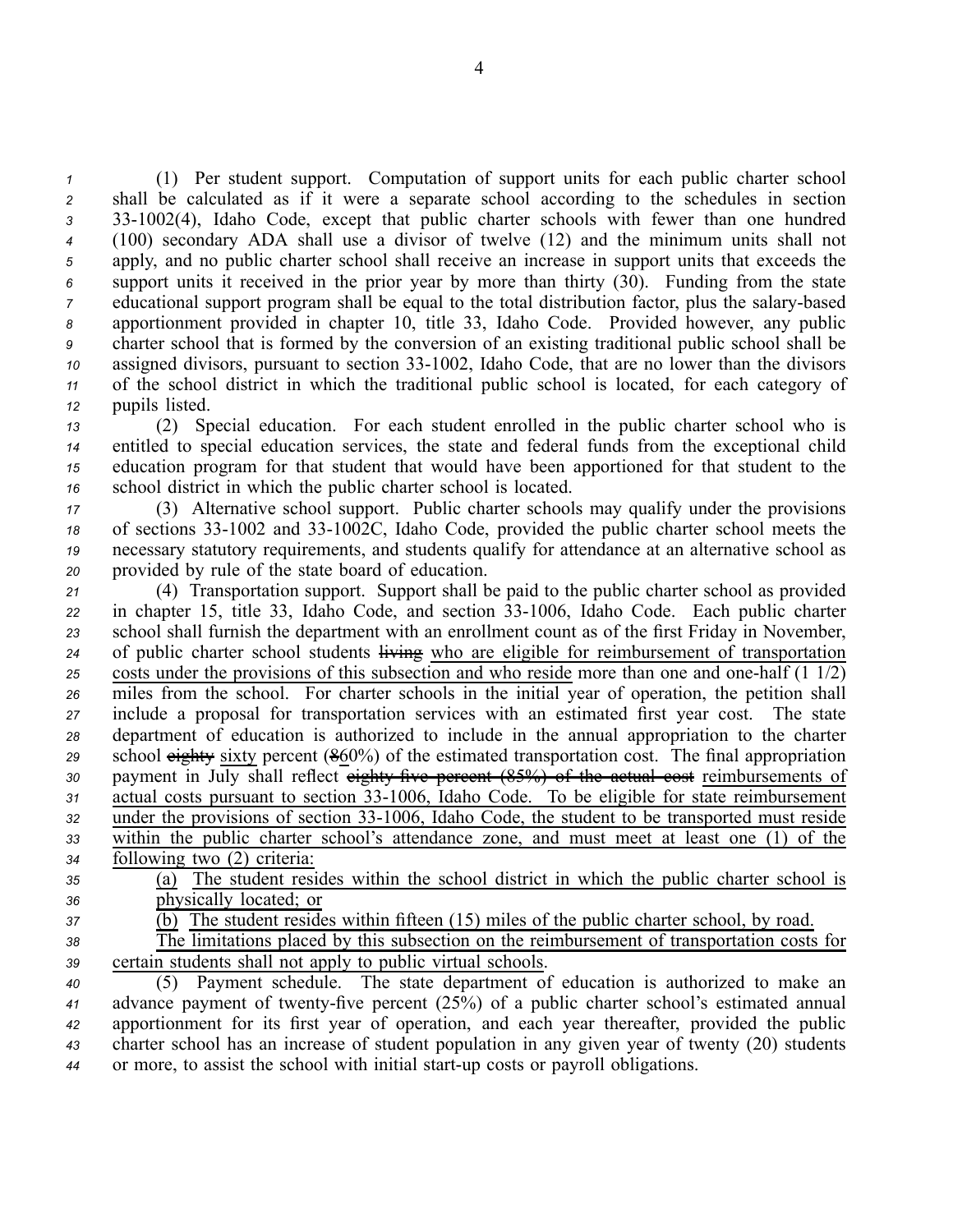(1) Per student support. Computation of suppor<sup>t</sup> units for each public charter school shall be calculated as if it were <sup>a</sup> separate school according to the schedules in section 331002(4), Idaho Code, excep<sup>t</sup> that public charter schools with fewer than one hundred (100) secondary ADA shall use <sup>a</sup> divisor of twelve (12) and the minimum units shall not apply, and no public charter school shall receive an increase in suppor<sup>t</sup> units that exceeds the suppor<sup>t</sup> units it received in the prior year by more than thirty (30). Funding from the state educational support program shall be equal to the total distribution factor, plus the salary-based apportionment provided in chapter 10, title 33, Idaho Code. Provided however, any public charter school that is formed by the conversion of an existing traditional public school shall be assigned divisors, pursuant to section 33-1002, Idaho Code, that are no lower than the divisors of the school district in which the traditional public school is located, for each category of pupils listed.

 (2) Special education. For each student enrolled in the public charter school who is entitled to special education services, the state and federal funds from the exceptional child education program for that student that would have been apportioned for that student to the school district in which the public charter school is located.

 (3) Alternative school support. Public charter schools may qualify under the provisions 18 of sections 33-1002 and 33-1002C, Idaho Code, provided the public charter school meets the necessary statutory requirements, and students qualify for attendance at an alternative school as provided by rule of the state board of education.

 (4) Transportation support. Support shall be paid to the public charter school as provided in chapter 15, title 33, Idaho Code, and section 331006, Idaho Code. Each public charter school shall furnish the department with an enrollment count as of the first Friday in November, 24 of public charter school students living who are eligible for reimbursement of transportation costs under the provisions of this subsection and who reside more than one and one-half  $(1\ 1/2)$  miles from the school. For charter schools in the initial year of operation, the petition shall include <sup>a</sup> proposal for transportation services with an estimated first year cost. The state department of education is authorized to include in the annual appropriation to the charter school eighty sixty percen<sup>t</sup> (860%) of the estimated transportation cost. The final appropriation payment in July shall reflect eighty five percent  $(85%)$  of the actual cost reimbursements of 31 actual costs pursuant to section 33-1006, Idaho Code. To be eligible for state reimbursement 32 under the provisions of section 33-1006, Idaho Code, the student to be transported must reside within the public charter school's attendance zone, and must meet at least one (1) of the following two (2) criteria:

- *<sup>35</sup>* (a) The student resides within the school district in which the public charter school is *<sup>36</sup>* physically located; or
- *<sup>37</sup>* (b) The student resides within fifteen (15) miles of the public charter school, by road.

*<sup>38</sup>* The limitations placed by this subsection on the reimbursement of transportation costs for *<sup>39</sup>* certain students shall not apply to public virtual schools.

 (5) Payment schedule. The state department of education is authorized to make an 41 advance payment of twenty-five percent (25%) of a public charter school's estimated annual apportionment for its first year of operation, and each year thereafter, provided the public charter school has an increase of student population in any given year of twenty (20) students or more, to assist the school with initial startup costs or payroll obligations.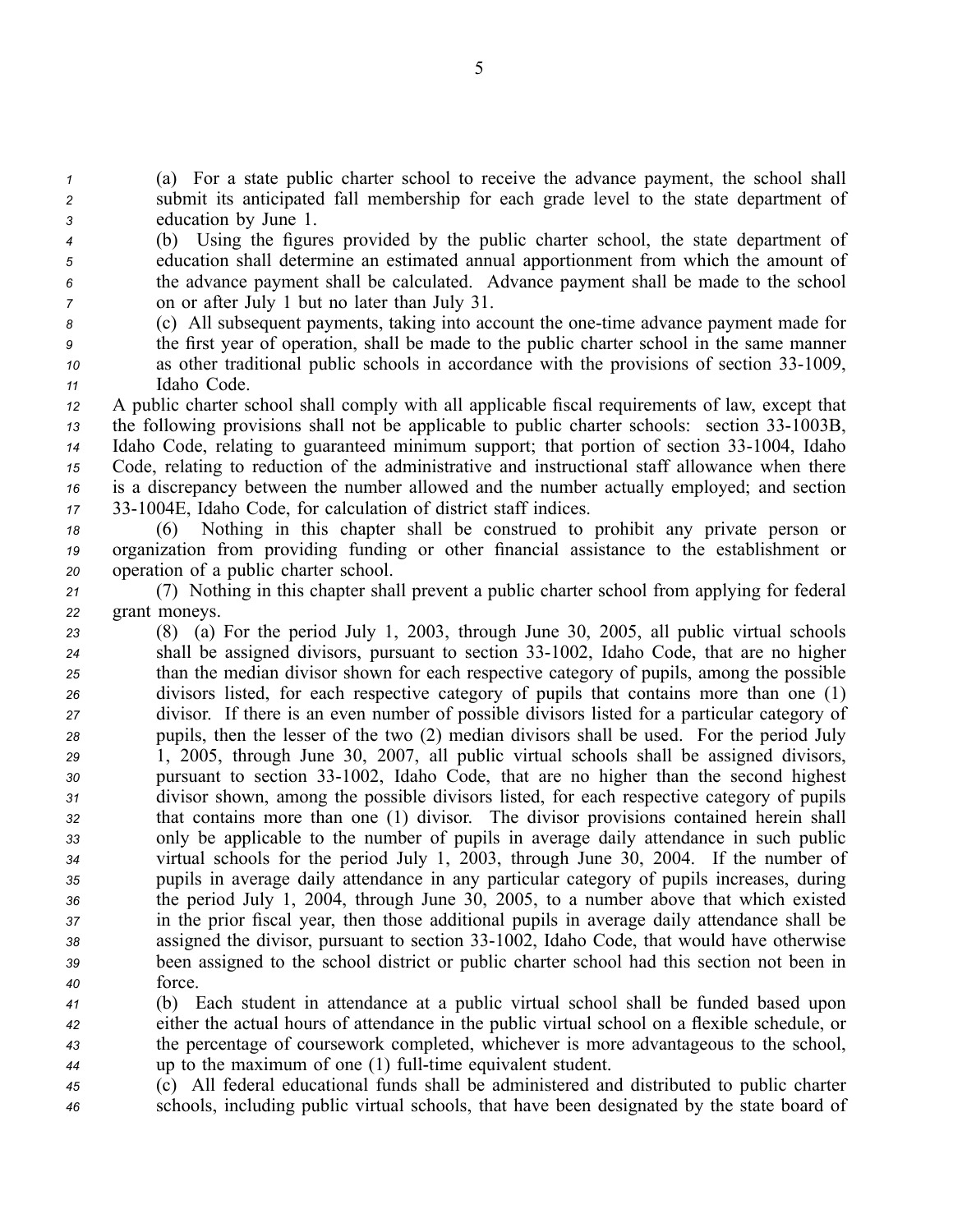*<sup>1</sup>* (a) For <sup>a</sup> state public charter school to receive the advance payment, the school shall *<sup>2</sup>* submit its anticipated fall membership for each grade level to the state department of *<sup>3</sup>* education by June 1.

- *<sup>4</sup>* (b) Using the figures provided by the public charter school, the state department of *<sup>5</sup>* education shall determine an estimated annual apportionment from which the amount of *<sup>6</sup>* the advance paymen<sup>t</sup> shall be calculated. Advance paymen<sup>t</sup> shall be made to the school *<sup>7</sup>* on or after July 1 but no later than July 31.
- *8* (c) All subsequent payments, taking into account the one-time advance payment made for *<sup>9</sup>* the first year of operation, shall be made to the public charter school in the same manner *10* as other traditional public schools in accordance with the provisions of section 33-1009, *<sup>11</sup>* Idaho Code.
- *<sup>12</sup>* A public charter school shall comply with all applicable fiscal requirements of law, excep<sup>t</sup> that *13* the following provisions shall not be applicable to public charter schools: section 33-1003B, *14* Idaho Code, relating to guaranteed minimum support; that portion of section 33-1004, Idaho *<sup>15</sup>* Code, relating to reduction of the administrative and instructional staff allowance when there *<sup>16</sup>* is <sup>a</sup> discrepancy between the number allowed and the number actually employed; and section *<sup>17</sup>* 331004E, Idaho Code, for calculation of district staff indices.
- *<sup>18</sup>* (6) Nothing in this chapter shall be construed to prohibit any private person or *<sup>19</sup>* organization from providing funding or other financial assistance to the establishment or *<sup>20</sup>* operation of <sup>a</sup> public charter school.
- *<sup>21</sup>* (7) Nothing in this chapter shall preven<sup>t</sup> <sup>a</sup> public charter school from applying for federal *<sup>22</sup>* grant moneys.
- *<sup>23</sup>* (8) (a) For the period July 1, 2003, through June 30, 2005, all public virtual schools *<sup>24</sup>* shall be assigned divisors, pursuan<sup>t</sup> to section 331002, Idaho Code, that are no higher *<sup>25</sup>* than the median divisor shown for each respective category of pupils, among the possible *<sup>26</sup>* divisors listed, for each respective category of pupils that contains more than one (1) *<sup>27</sup>* divisor. If there is an even number of possible divisors listed for <sup>a</sup> particular category of *<sup>28</sup>* pupils, then the lesser of the two (2) median divisors shall be used. For the period July *<sup>29</sup>* 1, 2005, through June 30, 2007, all public virtual schools shall be assigned divisors, *<sup>30</sup>* pursuan<sup>t</sup> to section 331002, Idaho Code, that are no higher than the second highest *<sup>31</sup>* divisor shown, among the possible divisors listed, for each respective category of pupils *<sup>32</sup>* that contains more than one (1) divisor. The divisor provisions contained herein shall *<sup>33</sup>* only be applicable to the number of pupils in average daily attendance in such public *<sup>34</sup>* virtual schools for the period July 1, 2003, through June 30, 2004. If the number of *<sup>35</sup>* pupils in average daily attendance in any particular category of pupils increases, during *<sup>36</sup>* the period July 1, 2004, through June 30, 2005, to <sup>a</sup> number above that which existed *<sup>37</sup>* in the prior fiscal year, then those additional pupils in average daily attendance shall be *<sup>38</sup>* assigned the divisor, pursuan<sup>t</sup> to section 331002, Idaho Code, that would have otherwise *<sup>39</sup>* been assigned to the school district or public charter school had this section not been in *<sup>40</sup>* force.
- *<sup>41</sup>* (b) Each student in attendance at <sup>a</sup> public virtual school shall be funded based upon *<sup>42</sup>* either the actual hours of attendance in the public virtual school on <sup>a</sup> flexible schedule, or *<sup>43</sup>* the percentage of coursework completed, whichever is more advantageous to the school, *44* up to the maximum of one (1) full-time equivalent student.
- *<sup>45</sup>* (c) All federal educational funds shall be administered and distributed to public charter *<sup>46</sup>* schools, including public virtual schools, that have been designated by the state board of